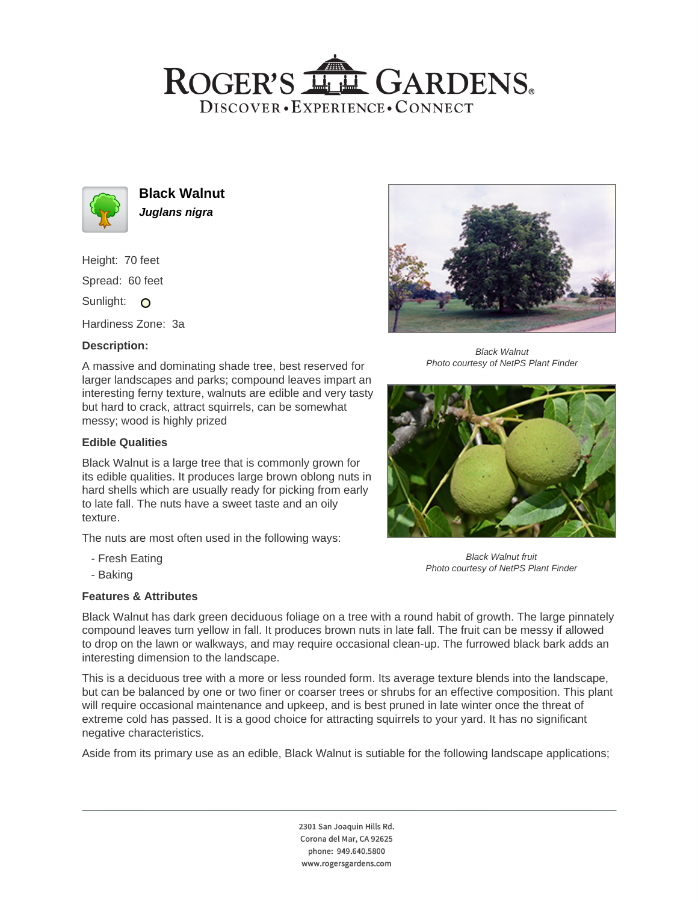## ROGER'S LL GARDENS. DISCOVER · EXPERIENCE · CONNECT



**Black Walnut Juglans nigra**

Height: 70 feet Spread: 60 feet Sunlight: O

Hardiness Zone: 3a

### **Description:**

A massive and dominating shade tree, best reserved for larger landscapes and parks; compound leaves impart an interesting ferny texture, walnuts are edible and very tasty but hard to crack, attract squirrels, can be somewhat messy; wood is highly prized

#### **Edible Qualities**

Black Walnut is a large tree that is commonly grown for its edible qualities. It produces large brown oblong nuts in hard shells which are usually ready for picking from early to late fall. The nuts have a sweet taste and an oily texture.

The nuts are most often used in the following ways:

- Fresh Eating
- Baking

#### **Features & Attributes**



Black Walnut Photo courtesy of NetPS Plant Finder



Black Walnut fruit Photo courtesy of NetPS Plant Finder

Black Walnut has dark green deciduous foliage on a tree with a round habit of growth. The large pinnately compound leaves turn yellow in fall. It produces brown nuts in late fall. The fruit can be messy if allowed to drop on the lawn or walkways, and may require occasional clean-up. The furrowed black bark adds an interesting dimension to the landscape.

This is a deciduous tree with a more or less rounded form. Its average texture blends into the landscape, but can be balanced by one or two finer or coarser trees or shrubs for an effective composition. This plant will require occasional maintenance and upkeep, and is best pruned in late winter once the threat of extreme cold has passed. It is a good choice for attracting squirrels to your yard. It has no significant negative characteristics.

Aside from its primary use as an edible, Black Walnut is sutiable for the following landscape applications;

2301 San Joaquin Hills Rd. Corona del Mar, CA 92625 phone: 949.640.5800 www.rogersgardens.com